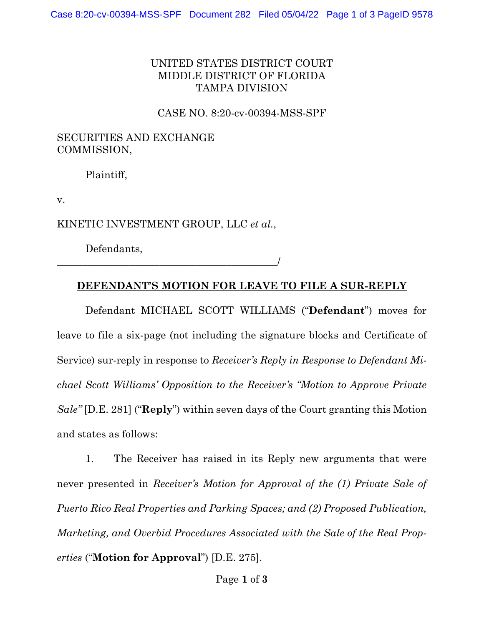### UNITED STATES DISTRICT COURT MIDDLE DISTRICT OF FLORIDA TAMPA DIVISION

CASE NO. 8:20-cv-00394-MSS-SPF

#### SECURITIES AND EXCHANGE COMMISSION,

Plaintiff,

v.

KINETIC INVESTMENT GROUP, LLC *et al.*,

Defendants,

\_\_\_\_\_\_\_\_\_\_\_\_\_\_\_\_\_\_\_\_\_\_\_\_\_\_\_\_\_\_\_\_\_\_\_\_\_\_\_\_\_\_\_/

#### **DEFENDANT'S MOTION FOR LEAVE TO FILE A SUR-REPLY**

Defendant MICHAEL SCOTT WILLIAMS ("**Defendant**") moves for leave to file a six-page (not including the signature blocks and Certificate of Service) sur-reply in response to *Receiver's Reply in Response to Defendant Michael Scott Williams' Opposition to the Receiver's "Motion to Approve Private Sale"* [D.E. 281] ("**Reply**") within seven days of the Court granting this Motion and states as follows:

1. The Receiver has raised in its Reply new arguments that were never presented in *Receiver's Motion for Approval of the (1) Private Sale of Puerto Rico Real Properties and Parking Spaces; and (2) Proposed Publication, Marketing, and Overbid Procedures Associated with the Sale of the Real Properties* ("**Motion for Approval**") [D.E. 275].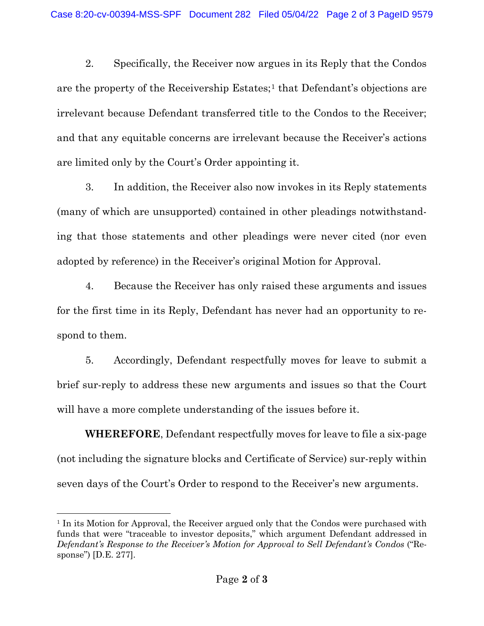2. Specifically, the Receiver now argues in its Reply that the Condos are the property of the Receivership Estates;<sup>[1](#page-1-0)</sup> that Defendant's objections are irrelevant because Defendant transferred title to the Condos to the Receiver; and that any equitable concerns are irrelevant because the Receiver's actions are limited only by the Court's Order appointing it.

3. In addition, the Receiver also now invokes in its Reply statements (many of which are unsupported) contained in other pleadings notwithstanding that those statements and other pleadings were never cited (nor even adopted by reference) in the Receiver's original Motion for Approval.

4. Because the Receiver has only raised these arguments and issues for the first time in its Reply, Defendant has never had an opportunity to respond to them.

5. Accordingly, Defendant respectfully moves for leave to submit a brief sur-reply to address these new arguments and issues so that the Court will have a more complete understanding of the issues before it.

**WHEREFORE**, Defendant respectfully moves for leave to file a six-page (not including the signature blocks and Certificate of Service) sur-reply within seven days of the Court's Order to respond to the Receiver's new arguments.

<span id="page-1-0"></span><sup>&</sup>lt;sup>1</sup> In its Motion for Approval, the Receiver argued only that the Condos were purchased with funds that were "traceable to investor deposits," which argument Defendant addressed in *Defendant's Response to the Receiver's Motion for Approval to Sell Defendant's Condos* ("Response") [D.E. 277].